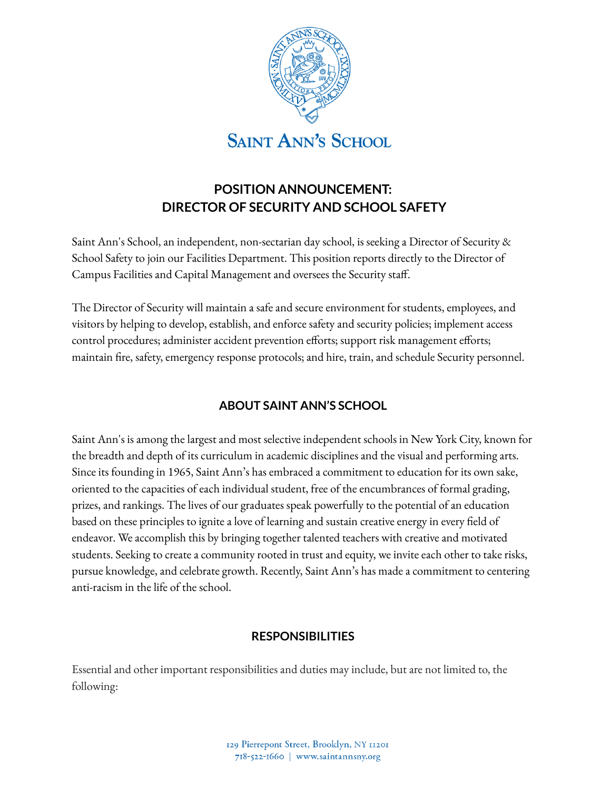

# **POSITION ANNOUNCEMENT: DIRECTOR OF SECURITY AND SCHOOL SAFETY**

Saint Ann's School, an independent, non-sectarian day school, is seeking a Director of Security & School Safety to join our Facilities Department. This position reports directly to the Director of Campus Facilities and Capital Management and oversees the Security staff.

The Director of Security will maintain a safe and secure environment for students, employees, and visitors by helping to develop, establish, and enforce safety and security policies; implement access control procedures; administer accident prevention efforts; support risk management efforts; maintain fire, safety, emergency response protocols; and hire, train, and schedule Security personnel.

# **ABOUT SAINT ANN'S SCHOOL**

Saint Ann's is among the largest and most selective independent schools in New York City, known for the breadth and depth of its curriculum in academic disciplines and the visual and performing arts. Since its founding in 1965, Saint Ann's has embraced a commitment to education for its own sake, oriented to the capacities of each individual student, free of the encumbrances of formal grading, prizes, and rankings. The lives of our graduates speak powerfully to the potential of an education based on these principles to ignite a love of learning and sustain creative energy in every field of endeavor. We accomplish this by bringing together talented teachers with creative and motivated students. Seeking to create a community rooted in trust and equity, we invite each other to take risks, pursue knowledge, and celebrate growth. Recently, Saint Ann's has made a commitment to centering anti-racism in the life of the school.

### **RESPONSIBILITIES**

Essential and other important responsibilities and duties may include, but are not limited to, the following: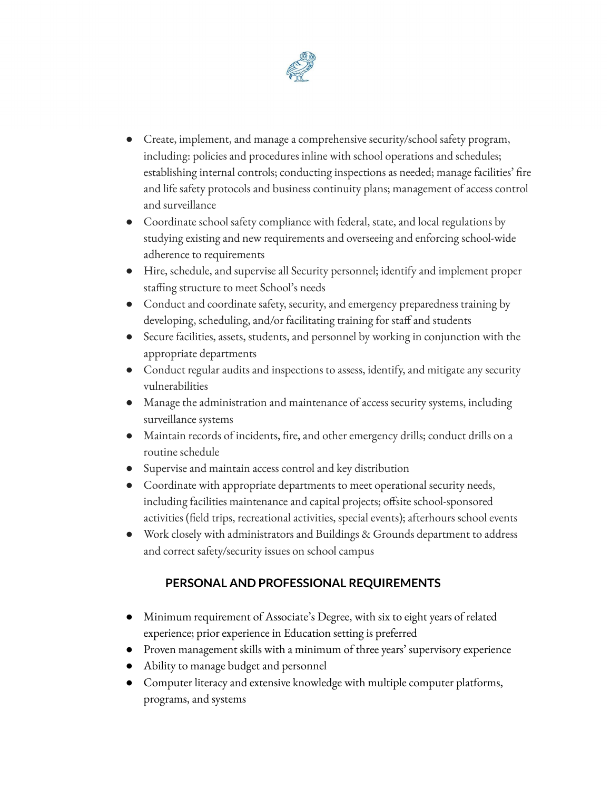

- Create, implement, and manage a comprehensive security/school safety program, including: policies and procedures inline with school operations and schedules; establishing internal controls; conducting inspections as needed; manage facilities' fire and life safety protocols and business continuity plans; management of access control and surveillance
- Coordinate school safety compliance with federal, state, and local regulations by studying existing and new requirements and overseeing and enforcing school-wide adherence to requirements
- Hire, schedule, and supervise all Security personnel; identify and implement proper staffing structure to meet School's needs
- Conduct and coordinate safety, security, and emergency preparedness training by developing, scheduling, and/or facilitating training for staff and students
- Secure facilities, assets, students, and personnel by working in conjunction with the appropriate departments
- Conduct regular audits and inspections to assess, identify, and mitigate any security vulnerabilities
- Manage the administration and maintenance of access security systems, including surveillance systems
- Maintain records of incidents, fire, and other emergency drills; conduct drills on a routine schedule
- Supervise and maintain access control and key distribution
- Coordinate with appropriate departments to meet operational security needs, including facilities maintenance and capital projects; offsite school-sponsored activities (field trips, recreational activities, special events); afterhours school events
- Work closely with administrators and Buildings & Grounds department to address and correct safety/security issues on school campus

# **PERSONAL AND PROFESSIONAL REQUIREMENTS**

- Minimum requirement of Associate's Degree, with six to eight years of related experience; prior experience in Education setting is preferred
- Proven management skills with a minimum of three years' supervisory experience
- Ability to manage budget and personnel
- Computer literacy and extensive knowledge with multiple computer platforms, programs, and systems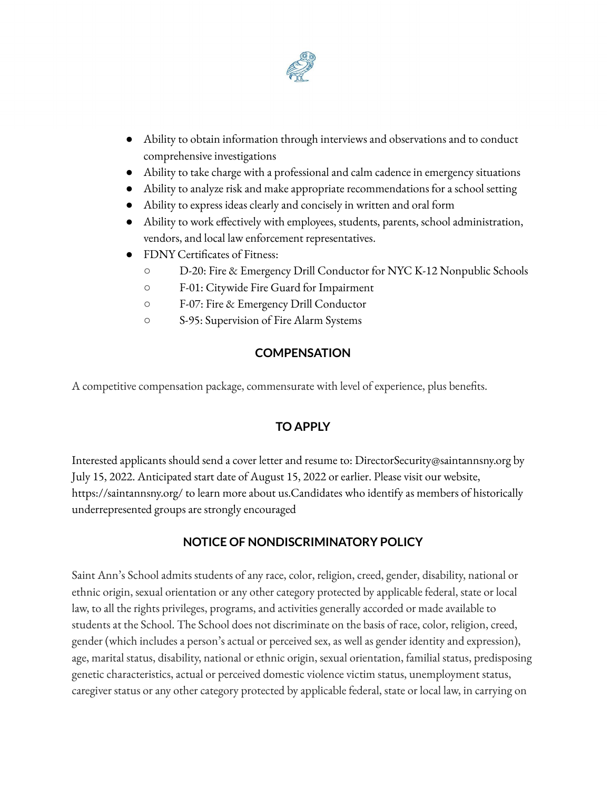

- Ability to obtain information through interviews and observations and to conduct comprehensive investigations
- Ability to take charge with a professional and calm cadence in emergency situations
- Ability to analyze risk and make appropriate recommendations for a school setting
- Ability to express ideas clearly and concisely in written and oral form
- Ability to work effectively with employees, students, parents, school administration, vendors, and local law enforcement representatives.
- FDNY Certificates of Fitness:
	- D-20: Fire & Emergency Drill Conductor for NYC K-12 Nonpublic Schools
	- F-01: Citywide Fire Guard for Impairment
	- F-07: Fire & Emergency Drill Conductor
	- S-95: Supervision of Fire Alarm Systems

#### **COMPENSATION**

A competitive compensation package, commensurate with level of experience, plus benefits.

### **TO APPLY**

Interested applicants should send a cover letter and resume to: DirectorSecurity@saintannsny.org by July 15, 2022. Anticipated start date of August 15, 2022 or earlier. Please visit our website, https://saintannsny.org/ to learn more about us.Candidates who identify as members of historically underrepresented groups are strongly encouraged

#### **NOTICE OF NONDISCRIMINATORY POLICY**

Saint Ann's School admits students of any race, color, religion, creed, gender, disability, national or ethnic origin, sexual orientation or any other category protected by applicable federal, state or local law, to all the rights privileges, programs, and activities generally accorded or made available to students at the School. The School does not discriminate on the basis of race, color, religion, creed, gender (which includes a person's actual or perceived sex, as well as gender identity and expression), age, marital status, disability, national or ethnic origin, sexual orientation, familial status, predisposing genetic characteristics, actual or perceived domestic violence victim status, unemployment status, caregiver status or any other category protected by applicable federal, state or local law, in carrying on